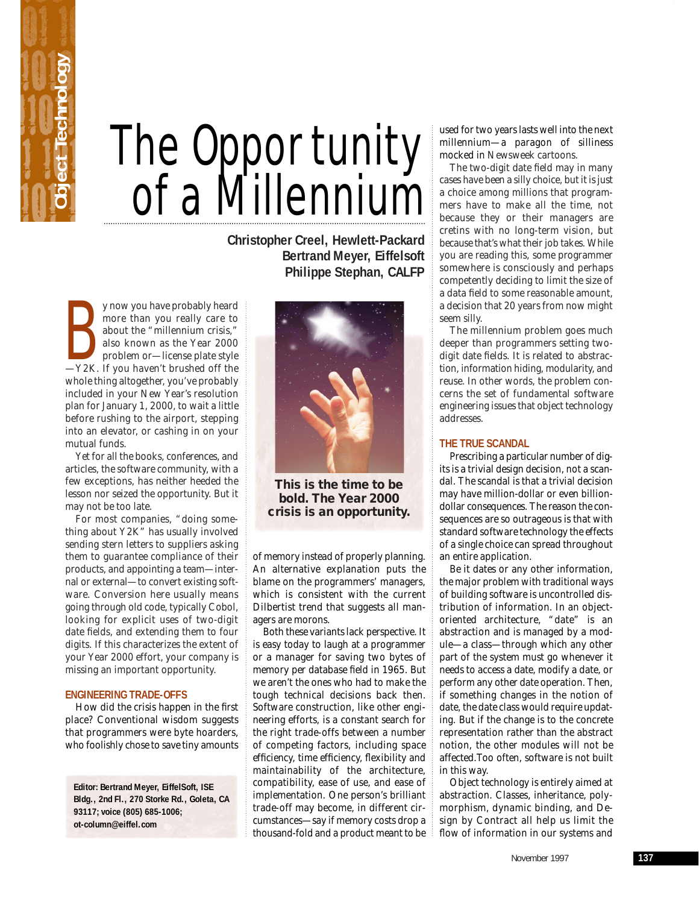

## The Opportunity of a Millennium

**Christopher Creel, Hewlett-Packard Bertrand Meyer, Eiffelsoft Philippe Stephan, CALFP**

y now you have probably heard<br>
more than you really care to<br>
about the "millennium crisis,"<br>
also known as the Year 2000<br>
problem or—license plate style<br>
—Y2K. If you haven't brushed off the y now you have probably heard more than you really care to about the "millennium crisis," also known as the Year 2000 problem or—license plate style whole thing altogether, you've probably included in your New Year's resolution plan for January 1, 2000, to wait a little before rushing to the airport, stepping into an elevator, or cashing in on your mutual funds.

Yet for all the books, conferences, and articles, the software community, with a few exceptions, has neither heeded the lesson nor seized the opportunity. But it may not be too late.

For most companies, "doing something about Y2K" has usually involved sending stern letters to suppliers asking them to guarantee compliance of their products, and appointing a team—internal or external—to convert existing software. Conversion here usually means going through old code, typically Cobol, looking for explicit uses of two-digit date fields, and extending them to four digits. If this characterizes the extent of your Year 2000 effort, your company is missing an important opportunity.

## **ENGINEERING TRADE-OFFS**

How did the crisis happen in the first place? Conventional wisdom suggests that programmers were byte hoarders, who foolishly chose to save tiny amounts

**Editor: Bertrand Meyer, EiffelSoft, ISE Bldg., 2nd Fl., 270 Storke Rd., Goleta, CA 93117; voice (805) 685-1006; ot-column@eiffel.com**



**This is the time to be bold. The Year 2000 crisis is an opportunity.**

of memory instead of properly planning. An alternative explanation puts the blame on the programmers' managers, which is consistent with the current Dilbertist trend that suggests all managers are morons.

Both these variants lack perspective. It is easy today to laugh at a programmer or a manager for saving two bytes of memory per database field in 1965. But we aren't the ones who had to make the tough technical decisions back then. Software construction, like other engineering efforts, is a constant search for the right trade-offs between a number of competing factors, including space efficiency, time efficiency, flexibility and maintainability of the architecture, compatibility, ease of use, and ease of implementation. One person's brilliant trade-off may become, in different circumstances—say if memory costs drop a thousand-fold and a product meant to be

used for two years lasts well into the next millennium—a paragon of silliness mocked in *Newsweek* cartoons.

The two-digit date field may in many cases have been a silly choice, but it is just a choice among millions that programmers have to make all the time, not because they or their managers are cretins with no long-term vision, but because that's what their job takes. While you are reading this, some programmer somewhere is consciously and perhaps competently deciding to limit the size of a data field to some reasonable amount, a decision that 20 years from now might seem silly.

The millennium problem goes much deeper than programmers setting twodigit date fields. It is related to abstraction, information hiding, modularity, and reuse. In other words, the problem concerns the set of fundamental software engineering issues that object technology addresses.

## **THE TRUE SCANDAL**

Prescribing a particular number of digits is a trivial design decision, not a scandal. The scandal is that a trivial decision may have million-dollar or even billiondollar consequences. The reason the consequences are so outrageous is that with standard software technology the effects of a single choice can spread throughout an entire application.

Be it dates or any other information, the major problem with traditional ways of building software is uncontrolled distribution of information. In an objectoriented architecture, "date" is an abstraction and is managed by a module—a class—through which any other part of the system must go whenever it needs to access a date, modify a date, or perform any other date operation. Then, if something changes in the notion of date, the date class would require updating. But if the change is to the concrete representation rather than the abstract notion, the other modules will not be affected.Too often, software is not built in this way.

Object technology is entirely aimed at abstraction. Classes, inheritance, polymorphism, dynamic binding, and Design by Contract all help us limit the flow of information in our systems and